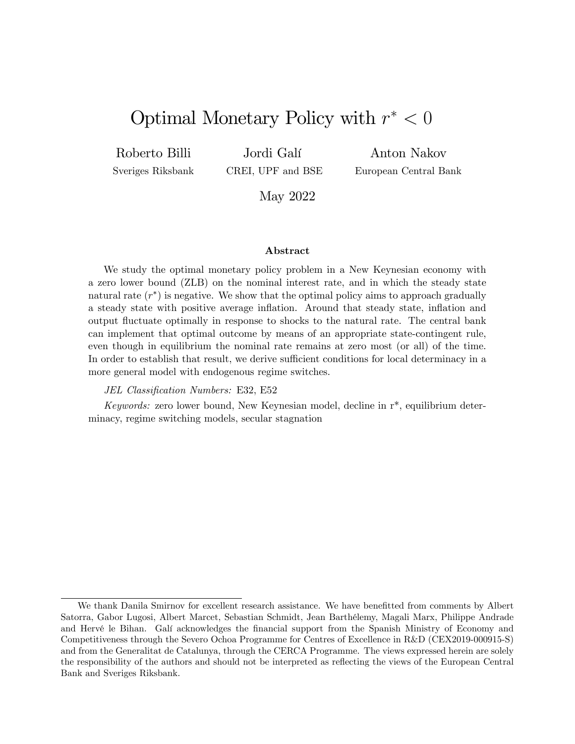# Optimal Monetary Policy with  $r^* < 0$

Roberto Billi

Sveriges Riksbank

Jordi Galí CREI, UPF and BSE

Anton Nakov European Central Bank

May 2022

#### Abstract

We study the optimal monetary policy problem in a New Keynesian economy with a zero lower bound (ZLB) on the nominal interest rate, and in which the steady state natural rate  $(r^*)$  is negative. We show that the optimal policy aims to approach gradually a steady state with positive average inflation. Around that steady state, inflation and output áuctuate optimally in response to shocks to the natural rate. The central bank can implement that optimal outcome by means of an appropriate state-contingent rule, even though in equilibrium the nominal rate remains at zero most (or all) of the time. In order to establish that result, we derive sufficient conditions for local determinacy in a more general model with endogenous regime switches.

#### JEL Classification Numbers: E32, E52

Keywords: zero lower bound, New Keynesian model, decline in r\*, equilibrium determinacy, regime switching models, secular stagnation

We thank Danila Smirnov for excellent research assistance. We have benefitted from comments by Albert Satorra, Gabor Lugosi, Albert Marcet, Sebastian Schmidt, Jean BarthÈlemy, Magali Marx, Philippe Andrade and Hervé le Bihan. Galí acknowledges the financial support from the Spanish Ministry of Economy and Competitiveness through the Severo Ochoa Programme for Centres of Excellence in R&D (CEX2019-000915-S) and from the Generalitat de Catalunya, through the CERCA Programme. The views expressed herein are solely the responsibility of the authors and should not be interpreted as reflecting the views of the European Central Bank and Sveriges Riksbank.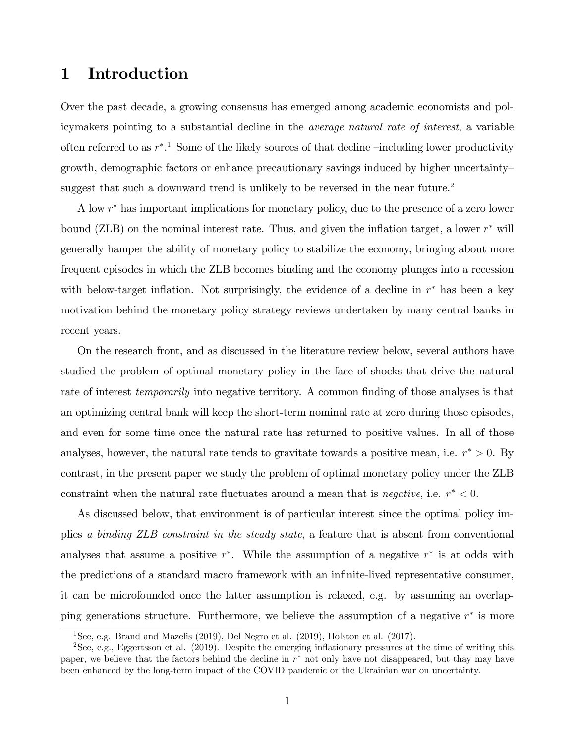## 1 Introduction

Over the past decade, a growing consensus has emerged among academic economists and policymakers pointing to a substantial decline in the average natural rate of interest, a variable often referred to as  $r^*$ .<sup>1</sup> Some of the likely sources of that decline  $\overline{-}$ including lower productivity growth, demographic factors or enhance precautionary savings induced by higher uncertainty suggest that such a downward trend is unlikely to be reversed in the near future.<sup>2</sup>

A low  $r^*$  has important implications for monetary policy, due to the presence of a zero lower bound (ZLB) on the nominal interest rate. Thus, and given the inflation target, a lower  $r^*$  will generally hamper the ability of monetary policy to stabilize the economy, bringing about more frequent episodes in which the ZLB becomes binding and the economy plunges into a recession with below-target inflation. Not surprisingly, the evidence of a decline in  $r^*$  has been a key motivation behind the monetary policy strategy reviews undertaken by many central banks in recent years.

On the research front, and as discussed in the literature review below, several authors have studied the problem of optimal monetary policy in the face of shocks that drive the natural rate of interest *temporarily* into negative territory. A common finding of those analyses is that an optimizing central bank will keep the short-term nominal rate at zero during those episodes, and even for some time once the natural rate has returned to positive values. In all of those analyses, however, the natural rate tends to gravitate towards a positive mean, i.e.  $r^* > 0$ . By contrast, in the present paper we study the problem of optimal monetary policy under the ZLB constraint when the natural rate fluctuates around a mean that is *negative*, i.e.  $r^* < 0$ .

As discussed below, that environment is of particular interest since the optimal policy implies a binding ZLB constraint in the steady state, a feature that is absent from conventional analyses that assume a positive  $r^*$ . While the assumption of a negative  $r^*$  is at odds with the predictions of a standard macro framework with an infinite-lived representative consumer, it can be microfounded once the latter assumption is relaxed, e.g. by assuming an overlapping generations structure. Furthermore, we believe the assumption of a negative  $r^*$  is more

<sup>&</sup>lt;sup>1</sup>See, e.g. Brand and Mazelis (2019), Del Negro et al. (2019), Holston et al. (2017).

<sup>&</sup>lt;sup>2</sup>See, e.g., Eggertsson et al. (2019). Despite the emerging inflationary pressures at the time of writing this paper, we believe that the factors behind the decline in  $r^*$  not only have not disappeared, but thay may have been enhanced by the long-term impact of the COVID pandemic or the Ukrainian war on uncertainty.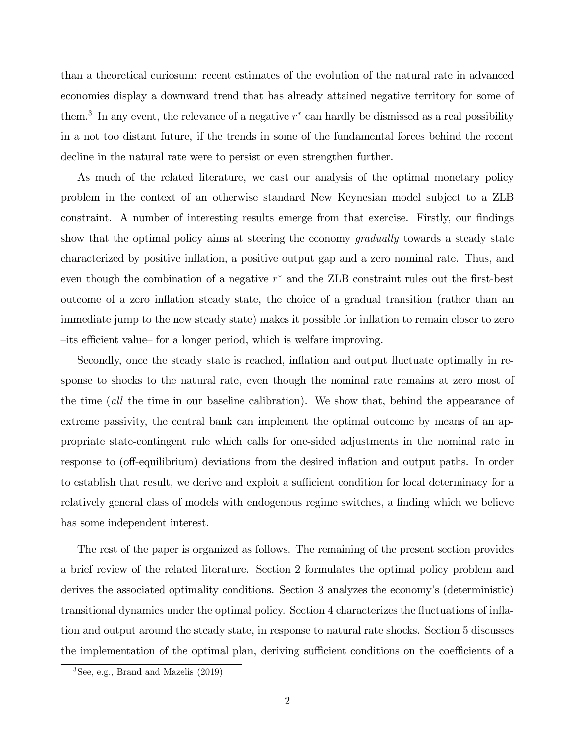than a theoretical curiosum: recent estimates of the evolution of the natural rate in advanced economies display a downward trend that has already attained negative territory for some of them.<sup>3</sup> In any event, the relevance of a negative  $r^*$  can hardly be dismissed as a real possibility in a not too distant future, if the trends in some of the fundamental forces behind the recent decline in the natural rate were to persist or even strengthen further.

As much of the related literature, we cast our analysis of the optimal monetary policy problem in the context of an otherwise standard New Keynesian model subject to a ZLB constraint. A number of interesting results emerge from that exercise. Firstly, our findings show that the optimal policy aims at steering the economy *gradually* towards a steady state characterized by positive ináation, a positive output gap and a zero nominal rate. Thus, and even though the combination of a negative  $r^*$  and the ZLB constraint rules out the first-best outcome of a zero inflation steady state, the choice of a gradual transition (rather than an immediate jump to the new steady state) makes it possible for inflation to remain closer to zero -its efficient value- for a longer period, which is welfare improving.

Secondly, once the steady state is reached, inflation and output fluctuate optimally in response to shocks to the natural rate, even though the nominal rate remains at zero most of the time (all the time in our baseline calibration). We show that, behind the appearance of extreme passivity, the central bank can implement the optimal outcome by means of an appropriate state-contingent rule which calls for one-sided adjustments in the nominal rate in response to (off-equilibrium) deviations from the desired inflation and output paths. In order to establish that result, we derive and exploit a sufficient condition for local determinacy for a relatively general class of models with endogenous regime switches, a finding which we believe has some independent interest.

The rest of the paper is organized as follows. The remaining of the present section provides a brief review of the related literature. Section 2 formulates the optimal policy problem and derives the associated optimality conditions. Section 3 analyzes the economy's (deterministic) transitional dynamics under the optimal policy. Section 4 characterizes the fluctuations of inflation and output around the steady state, in response to natural rate shocks. Section 5 discusses the implementation of the optimal plan, deriving sufficient conditions on the coefficients of a

 ${}^{3}$ See, e.g., Brand and Mazelis  $(2019)$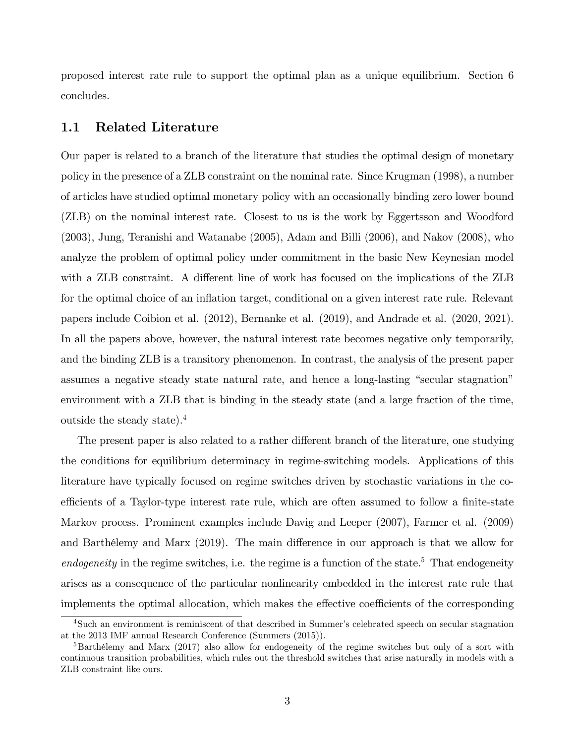proposed interest rate rule to support the optimal plan as a unique equilibrium. Section 6 concludes.

#### 1.1 Related Literature

Our paper is related to a branch of the literature that studies the optimal design of monetary policy in the presence of a ZLB constraint on the nominal rate. Since Krugman (1998), a number of articles have studied optimal monetary policy with an occasionally binding zero lower bound (ZLB) on the nominal interest rate. Closest to us is the work by Eggertsson and Woodford (2003), Jung, Teranishi and Watanabe (2005), Adam and Billi (2006), and Nakov (2008), who analyze the problem of optimal policy under commitment in the basic New Keynesian model with a ZLB constraint. A different line of work has focused on the implications of the ZLB for the optimal choice of an inflation target, conditional on a given interest rate rule. Relevant papers include Coibion et al. (2012), Bernanke et al. (2019), and Andrade et al. (2020, 2021). In all the papers above, however, the natural interest rate becomes negative only temporarily, and the binding ZLB is a transitory phenomenon. In contrast, the analysis of the present paper assumes a negative steady state natural rate, and hence a long-lasting "secular stagnation" environment with a ZLB that is binding in the steady state (and a large fraction of the time, outside the steady state).<sup>4</sup>

The present paper is also related to a rather different branch of the literature, one studying the conditions for equilibrium determinacy in regime-switching models. Applications of this literature have typically focused on regime switches driven by stochastic variations in the coefficients of a Taylor-type interest rate rule, which are often assumed to follow a finite-state Markov process. Prominent examples include Davig and Leeper (2007), Farmer et al. (2009) and Barthélemy and Marx (2019). The main difference in our approach is that we allow for endogeneity in the regime switches, i.e. the regime is a function of the state.<sup>5</sup> That endogeneity arises as a consequence of the particular nonlinearity embedded in the interest rate rule that implements the optimal allocation, which makes the effective coefficients of the corresponding

<sup>&</sup>lt;sup>4</sup>Such an environment is reminiscent of that described in Summer's celebrated speech on secular stagnation at the 2013 IMF annual Research Conference (Summers (2015)).

 ${}^{5}$ Barthélemy and Marx (2017) also allow for endogeneity of the regime switches but only of a sort with continuous transition probabilities, which rules out the threshold switches that arise naturally in models with a ZLB constraint like ours.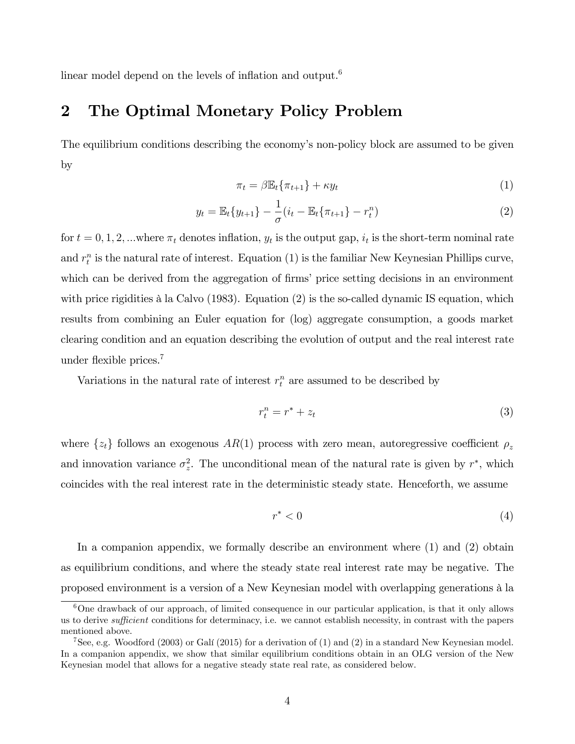linear model depend on the levels of inflation and output.<sup>6</sup>

## 2 The Optimal Monetary Policy Problem

The equilibrium conditions describing the economy's non-policy block are assumed to be given by

$$
\pi_t = \beta \mathbb{E}_t \{ \pi_{t+1} \} + \kappa y_t \tag{1}
$$

$$
y_t = \mathbb{E}_t \{ y_{t+1} \} - \frac{1}{\sigma} (i_t - \mathbb{E}_t \{ \pi_{t+1} \} - r_t^n)
$$
 (2)

for  $t = 0, 1, 2, ...$  where  $\pi_t$  denotes inflation,  $y_t$  is the output gap,  $i_t$  is the short-term nominal rate and  $r_t^n$  is the natural rate of interest. Equation (1) is the familiar New Keynesian Phillips curve, which can be derived from the aggregation of firms' price setting decisions in an environment with price rigidities à la Calvo  $(1983)$ . Equation  $(2)$  is the so-called dynamic IS equation, which results from combining an Euler equation for (log) aggregate consumption, a goods market clearing condition and an equation describing the evolution of output and the real interest rate under flexible prices.<sup>7</sup>

Variations in the natural rate of interest  $r_t^n$  are assumed to be described by

$$
r_t^n = r^* + z_t \tag{3}
$$

where  $\{z_t\}$  follows an exogenous  $AR(1)$  process with zero mean, autoregressive coefficient  $\rho_z$ and innovation variance  $\sigma_z^2$ . The unconditional mean of the natural rate is given by  $r^*$ , which coincides with the real interest rate in the deterministic steady state. Henceforth, we assume

$$
r^* < 0 \tag{4}
$$

In a companion appendix, we formally describe an environment where (1) and (2) obtain as equilibrium conditions, and where the steady state real interest rate may be negative. The proposed environment is a version of a New Keynesian model with overlapping generations à la

<sup>6</sup>One drawback of our approach, of limited consequence in our particular application, is that it only allows us to derive *sufficient* conditions for determinacy, i.e. we cannot establish necessity, in contrast with the papers mentioned above.

<sup>&</sup>lt;sup>7</sup>See, e.g. Woodford (2003) or Galí (2015) for a derivation of (1) and (2) in a standard New Keynesian model. In a companion appendix, we show that similar equilibrium conditions obtain in an OLG version of the New Keynesian model that allows for a negative steady state real rate, as considered below.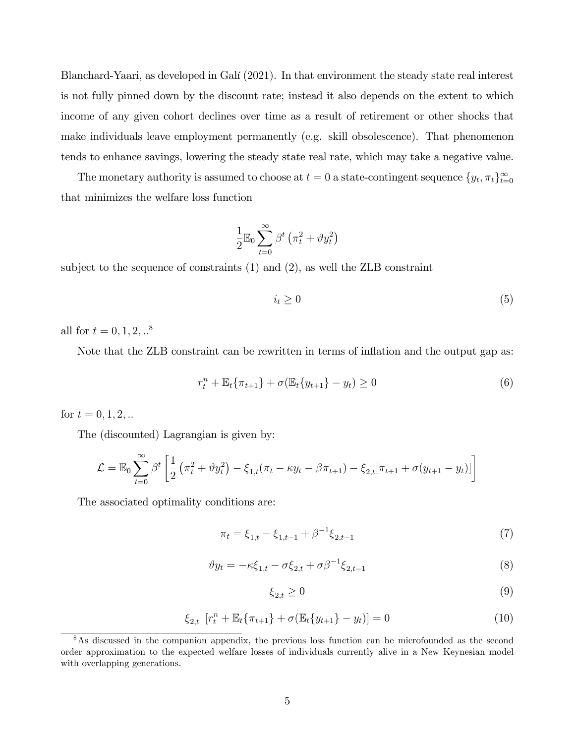Blanchard-Yaari, as developed in GalÌ (2021). In that environment the steady state real interest is not fully pinned down by the discount rate; instead it also depends on the extent to which income of any given cohort declines over time as a result of retirement or other shocks that make individuals leave employment permanently (e.g. skill obsolescence). That phenomenon tends to enhance savings, lowering the steady state real rate, which may take a negative value.

The monetary authority is assumed to choose at  $t = 0$  a state-contingent sequence  $\{y_t, \pi_t\}_{t=0}^{\infty}$ that minimizes the welfare loss function

$$
\frac{1}{2} \mathbb{E}_0 \sum_{t=0}^{\infty} \beta^t \left( \pi_t^2 + \vartheta y_t^2 \right)
$$

subject to the sequence of constraints (1) and (2), as well the ZLB constraint

$$
i_t \ge 0 \tag{5}
$$

all for  $t = 0, 1, 2, ...^8$ 

Note that the ZLB constraint can be rewritten in terms of inflation and the output gap as:

$$
r_t^n + \mathbb{E}_t \{ \pi_{t+1} \} + \sigma(\mathbb{E}_t \{ y_{t+1} \} - y_t) \ge 0
$$
\n(6)

for  $t = 0, 1, 2, ...$ 

The (discounted) Lagrangian is given by:

$$
\mathcal{L} = \mathbb{E}_0 \sum_{t=0}^{\infty} \beta^t \left[ \frac{1}{2} \left( \pi_t^2 + \vartheta y_t^2 \right) - \xi_{1,t} (\pi_t - \kappa y_t - \beta \pi_{t+1}) - \xi_{2,t} [\pi_{t+1} + \sigma (y_{t+1} - y_t)] \right]
$$

The associated optimality conditions are:

$$
\pi_t = \xi_{1,t} - \xi_{1,t-1} + \beta^{-1} \xi_{2,t-1} \tag{7}
$$

$$
\vartheta y_t = -\kappa \xi_{1,t} - \sigma \xi_{2,t} + \sigma \beta^{-1} \xi_{2,t-1}
$$
\n(8)

$$
\xi_{2,t} \ge 0 \tag{9}
$$

$$
\xi_{2,t} \left[ r_t^n + \mathbb{E}_t \{ \pi_{t+1} \} + \sigma(\mathbb{E}_t \{ y_{t+1} \} - y_t) \right] = 0 \tag{10}
$$

<sup>&</sup>lt;sup>8</sup>As discussed in the companion appendix, the previous loss function can be microfounded as the second order approximation to the expected welfare losses of individuals currently alive in a New Keynesian model with overlapping generations.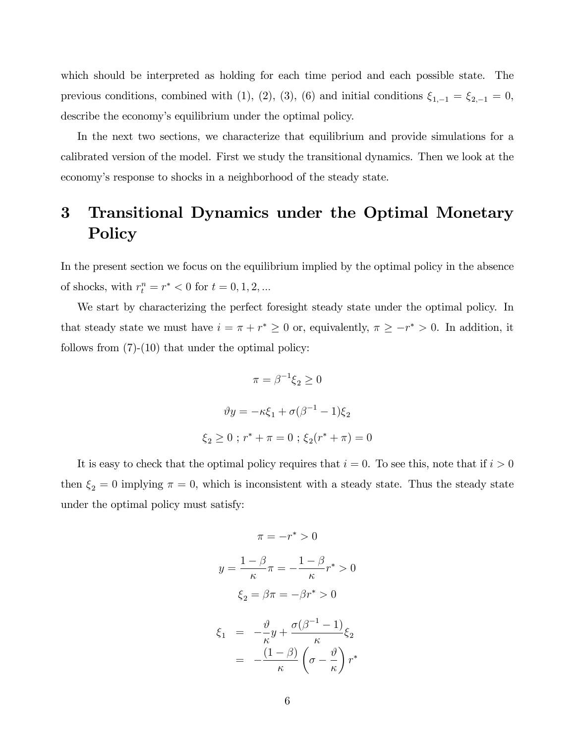which should be interpreted as holding for each time period and each possible state. The previous conditions, combined with (1), (2), (3), (6) and initial conditions  $\xi_{1,-1} = \xi_{2,-1} = 0$ , describe the economy's equilibrium under the optimal policy.

In the next two sections, we characterize that equilibrium and provide simulations for a calibrated version of the model. First we study the transitional dynamics. Then we look at the economy's response to shocks in a neighborhood of the steady state.

# 3 Transitional Dynamics under the Optimal Monetary Policy

In the present section we focus on the equilibrium implied by the optimal policy in the absence of shocks, with  $r_t^n = r^* < 0$  for  $t = 0, 1, 2, ...$ 

We start by characterizing the perfect foresight steady state under the optimal policy. In that steady state we must have  $i = \pi + r^* \geq 0$  or, equivalently,  $\pi \geq -r^* > 0$ . In addition, it follows from  $(7)-(10)$  that under the optimal policy:

$$
\pi = \beta^{-1} \xi_2 \ge 0
$$

$$
\vartheta y = -\kappa \xi_1 + \sigma (\beta^{-1} - 1) \xi_2
$$

$$
\xi_2 \ge 0 \; ; \; r^* + \pi = 0 \; ; \; \xi_2 (r^* + \pi) = 0
$$

It is easy to check that the optimal policy requires that  $i = 0$ . To see this, note that if  $i > 0$ then  $\xi_2 = 0$  implying  $\pi = 0$ , which is inconsistent with a steady state. Thus the steady state under the optimal policy must satisfy:

$$
\pi = -r^* > 0
$$

$$
y = \frac{1 - \beta}{\kappa}\pi = -\frac{1 - \beta}{\kappa}r^* > 0
$$

$$
\xi_2 = \beta\pi = -\beta r^* > 0
$$

$$
\xi_1 = -\frac{\vartheta}{\kappa}y + \frac{\sigma(\beta^{-1} - 1)}{\kappa}\xi_2
$$

$$
= -\frac{(1 - \beta)}{\kappa}\left(\sigma - \frac{\vartheta}{\kappa}\right)r^*
$$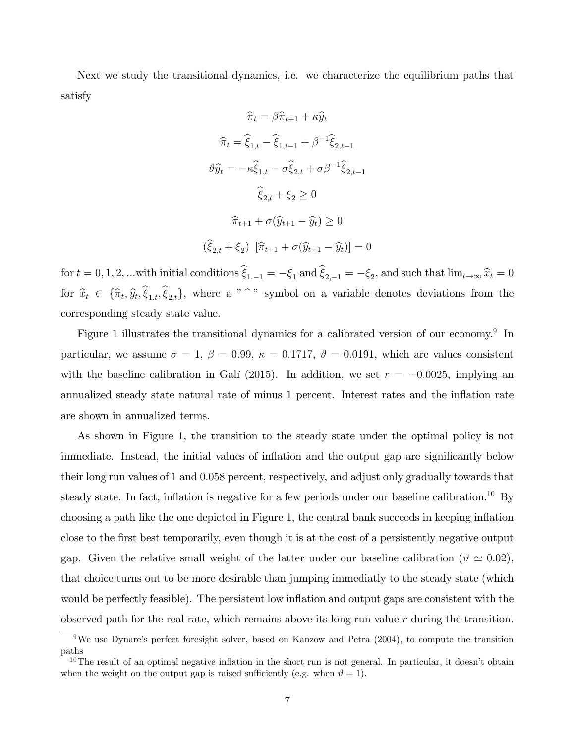Next we study the transitional dynamics, i.e. we characterize the equilibrium paths that satisfy

$$
\hat{\pi}_t = \beta \hat{\pi}_{t+1} + \kappa \hat{y}_t
$$

$$
\hat{\pi}_t = \hat{\xi}_{1,t} - \hat{\xi}_{1,t-1} + \beta^{-1} \hat{\xi}_{2,t-1}
$$

$$
\hat{y}_t = -\kappa \hat{\xi}_{1,t} - \sigma \hat{\xi}_{2,t} + \sigma \beta^{-1} \hat{\xi}_{2,t-1}
$$

$$
\hat{\xi}_{2,t} + \xi_2 \ge 0
$$

$$
\hat{\pi}_{t+1} + \sigma(\hat{y}_{t+1} - \hat{y}_t) \ge 0
$$

$$
(\hat{\xi}_{2,t} + \xi_2) [\hat{\pi}_{t+1} + \sigma(\hat{y}_{t+1} - \hat{y}_t)] = 0
$$

for  $t = 0, 1, 2, ...$  with initial conditions  $\xi_{1,-1} = -\xi_1$  and  $\xi_{2,-1} = -\xi_2$ , and such that  $\lim_{t\to\infty} \hat{x}_t = 0$ for  $\hat{x}_t \in \{\hat{\pi}_t, \hat{y}_t, \xi_{1,t}, \xi_{2,t}\},$  where a " " symbol on a variable denotes deviations from the corresponding steady state value.

Figure 1 illustrates the transitional dynamics for a calibrated version of our economy.<sup>9</sup> In particular, we assume  $\sigma = 1$ ,  $\beta = 0.99$ ,  $\kappa = 0.1717$ ,  $\vartheta = 0.0191$ , which are values consistent with the baseline calibration in Galí (2015). In addition, we set  $r = -0.0025$ , implying an annualized steady state natural rate of minus 1 percent. Interest rates and the inflation rate are shown in annualized terms.

As shown in Figure 1, the transition to the steady state under the optimal policy is not immediate. Instead, the initial values of inflation and the output gap are significantly below their long run values of 1 and 0:058 percent, respectively, and adjust only gradually towards that steady state. In fact, inflation is negative for a few periods under our baseline calibration.<sup>10</sup> By choosing a path like the one depicted in Figure 1, the central bank succeeds in keeping inflation close to the Örst best temporarily, even though it is at the cost of a persistently negative output gap. Given the relative small weight of the latter under our baseline calibration ( $\vartheta \simeq 0.02$ ), that choice turns out to be more desirable than jumping immediatly to the steady state (which would be perfectly feasible). The persistent low ináation and output gaps are consistent with the observed path for the real rate, which remains above its long run value  $r$  during the transition.

<sup>&</sup>lt;sup>9</sup>We use Dynare's perfect foresight solver, based on Kanzow and Petra  $(2004)$ , to compute the transition paths

 $10$ The result of an optimal negative inflation in the short run is not general. In particular, it doesn't obtain when the weight on the output gap is raised sufficiently (e.g. when  $\vartheta = 1$ ).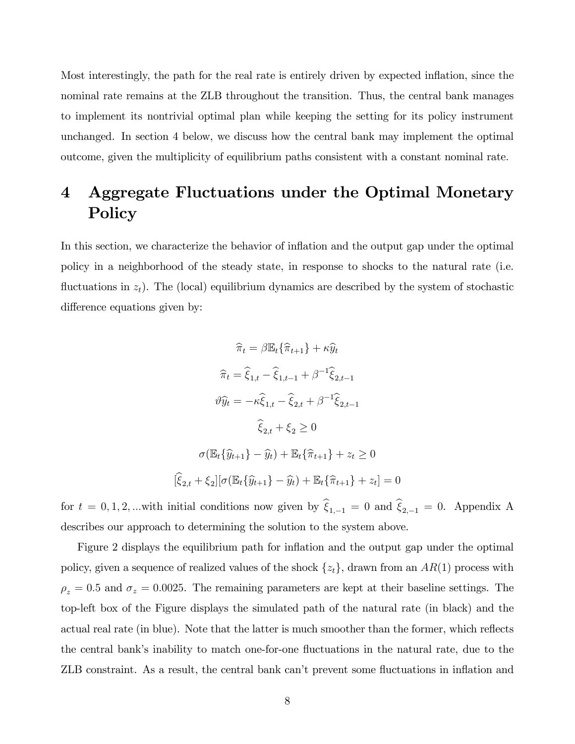Most interestingly, the path for the real rate is entirely driven by expected ináation, since the nominal rate remains at the ZLB throughout the transition. Thus, the central bank manages to implement its nontrivial optimal plan while keeping the setting for its policy instrument unchanged. In section 4 below, we discuss how the central bank may implement the optimal outcome, given the multiplicity of equilibrium paths consistent with a constant nominal rate.

# 4 Aggregate Fluctuations under the Optimal Monetary Policy

In this section, we characterize the behavior of inflation and the output gap under the optimal policy in a neighborhood of the steady state, in response to shocks to the natural rate (i.e. fluctuations in  $z_t$ ). The (local) equilibrium dynamics are described by the system of stochastic difference equations given by:

$$
\hat{\pi}_t = \beta \mathbb{E}_t \{ \hat{\pi}_{t+1} \} + \kappa \hat{y}_t
$$

$$
\hat{\pi}_t = \hat{\xi}_{1,t} - \hat{\xi}_{1,t-1} + \beta^{-1} \hat{\xi}_{2,t-1}
$$

$$
\vartheta \hat{y}_t = -\kappa \hat{\xi}_{1,t} - \hat{\xi}_{2,t} + \beta^{-1} \hat{\xi}_{2,t-1}
$$

$$
\hat{\xi}_{2,t} + \xi_2 \ge 0
$$

$$
\sigma(\mathbb{E}_t \{ \hat{y}_{t+1} \} - \hat{y}_t) + \mathbb{E}_t \{ \hat{\pi}_{t+1} \} + z_t \ge 0
$$

$$
[\hat{\xi}_{2,t} + \xi_2] [\sigma(\mathbb{E}_t \{ \hat{y}_{t+1} \} - \hat{y}_t) + \mathbb{E}_t \{ \hat{\pi}_{t+1} \} + z_t] = 0
$$

for  $t = 0, 1, 2, ...$  with initial conditions now given by  $\hat{\xi}_{1,-1} = 0$  and  $\hat{\xi}_{2,-1} = 0$ . Appendix A describes our approach to determining the solution to the system above.

Figure 2 displays the equilibrium path for inflation and the output gap under the optimal policy, given a sequence of realized values of the shock  $\{z_t\}$ , drawn from an  $AR(1)$  process with  $\rho_z = 0.5$  and  $\sigma_z = 0.0025$ . The remaining parameters are kept at their baseline settings. The top-left box of the Figure displays the simulated path of the natural rate (in black) and the actual real rate (in blue). Note that the latter is much smoother than the former, which reflects the central bankís inability to match one-for-one áuctuations in the natural rate, due to the ZLB constraint. As a result, the central bank can't prevent some fluctuations in inflation and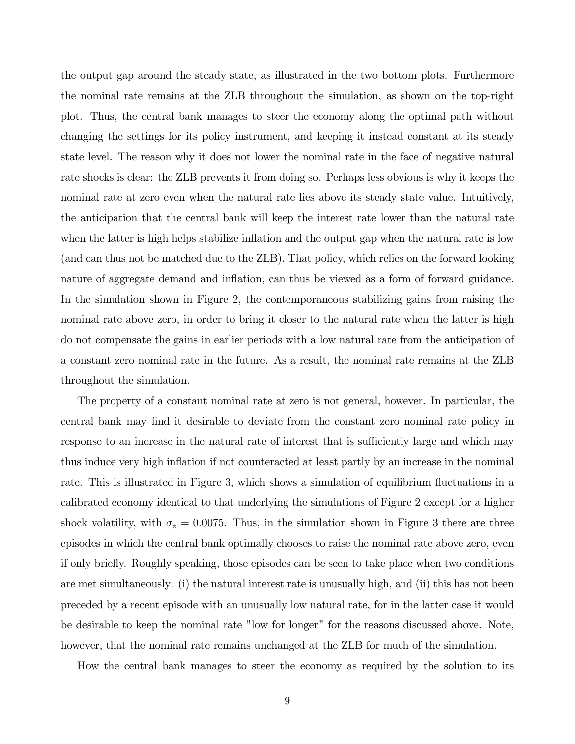the output gap around the steady state, as illustrated in the two bottom plots. Furthermore the nominal rate remains at the ZLB throughout the simulation, as shown on the top-right plot. Thus, the central bank manages to steer the economy along the optimal path without changing the settings for its policy instrument, and keeping it instead constant at its steady state level. The reason why it does not lower the nominal rate in the face of negative natural rate shocks is clear: the ZLB prevents it from doing so. Perhaps less obvious is why it keeps the nominal rate at zero even when the natural rate lies above its steady state value. Intuitively, the anticipation that the central bank will keep the interest rate lower than the natural rate when the latter is high helps stabilize inflation and the output gap when the natural rate is low (and can thus not be matched due to the ZLB). That policy, which relies on the forward looking nature of aggregate demand and inflation, can thus be viewed as a form of forward guidance. In the simulation shown in Figure 2, the contemporaneous stabilizing gains from raising the nominal rate above zero, in order to bring it closer to the natural rate when the latter is high do not compensate the gains in earlier periods with a low natural rate from the anticipation of a constant zero nominal rate in the future. As a result, the nominal rate remains at the ZLB throughout the simulation.

The property of a constant nominal rate at zero is not general, however. In particular, the central bank may find it desirable to deviate from the constant zero nominal rate policy in response to an increase in the natural rate of interest that is sufficiently large and which may thus induce very high ináation if not counteracted at least partly by an increase in the nominal rate. This is illustrated in Figure 3, which shows a simulation of equilibrium fluctuations in a calibrated economy identical to that underlying the simulations of Figure 2 except for a higher shock volatility, with  $\sigma_z = 0.0075$ . Thus, in the simulation shown in Figure 3 there are three episodes in which the central bank optimally chooses to raise the nominal rate above zero, even if only brieáy. Roughly speaking, those episodes can be seen to take place when two conditions are met simultaneously: (i) the natural interest rate is unusually high, and (ii) this has not been preceded by a recent episode with an unusually low natural rate, for in the latter case it would be desirable to keep the nominal rate "low for longer" for the reasons discussed above. Note, however, that the nominal rate remains unchanged at the ZLB for much of the simulation.

How the central bank manages to steer the economy as required by the solution to its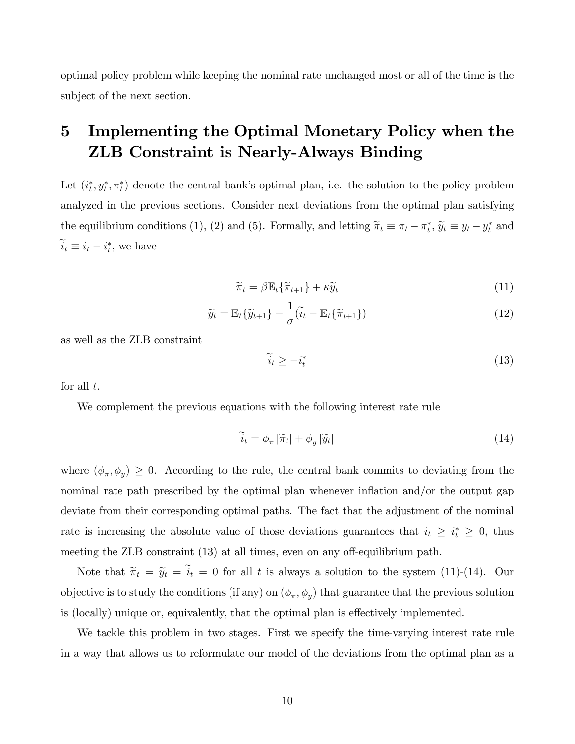optimal policy problem while keeping the nominal rate unchanged most or all of the time is the subject of the next section.

# 5 Implementing the Optimal Monetary Policy when the ZLB Constraint is Nearly-Always Binding

Let  $(i_t^*, y_t^*, \pi_t^*)$  denote the central bank's optimal plan, i.e. the solution to the policy problem analyzed in the previous sections. Consider next deviations from the optimal plan satisfying the equilibrium conditions (1), (2) and (5). Formally, and letting  $\tilde{\pi}_t \equiv \pi_t - \pi_t^*$ ,  $\tilde{y}_t \equiv y_t - y_t^*$  and  $i_t \equiv i_t - i_t^*$ , we have

$$
\widetilde{\pi}_t = \beta \mathbb{E}_t \{ \widetilde{\pi}_{t+1} \} + \kappa \widetilde{y}_t \tag{11}
$$

$$
\widetilde{y}_t = \mathbb{E}_t \{ \widetilde{y}_{t+1} \} - \frac{1}{\sigma} (\widetilde{i}_t - \mathbb{E}_t \{ \widetilde{\pi}_{t+1} \}) \tag{12}
$$

as well as the ZLB constraint

$$
\widetilde{i}_t \ge -i_t^* \tag{13}
$$

for all  $t$ .

We complement the previous equations with the following interest rate rule

$$
\widetilde{i}_t = \phi_\pi |\widetilde{\pi}_t| + \phi_y |\widetilde{y}_t| \tag{14}
$$

where  $(\phi_{\pi}, \phi_y) \geq 0$ . According to the rule, the central bank commits to deviating from the nominal rate path prescribed by the optimal plan whenever inflation and/or the output gap deviate from their corresponding optimal paths. The fact that the adjustment of the nominal rate is increasing the absolute value of those deviations guarantees that  $i_t \geq i_t^* \geq 0$ , thus meeting the ZLB constraint  $(13)$  at all times, even on any off-equilibrium path.

Note that  $\tilde{\pi}_t = \tilde{y}_t = \tilde{i}_t = 0$  for all t is always a solution to the system (11)-(14). Our objective is to study the conditions (if any) on  $(\phi_{\pi}, \phi_y)$  that guarantee that the previous solution is (locally) unique or, equivalently, that the optimal plan is effectively implemented.

We tackle this problem in two stages. First we specify the time-varying interest rate rule in a way that allows us to reformulate our model of the deviations from the optimal plan as a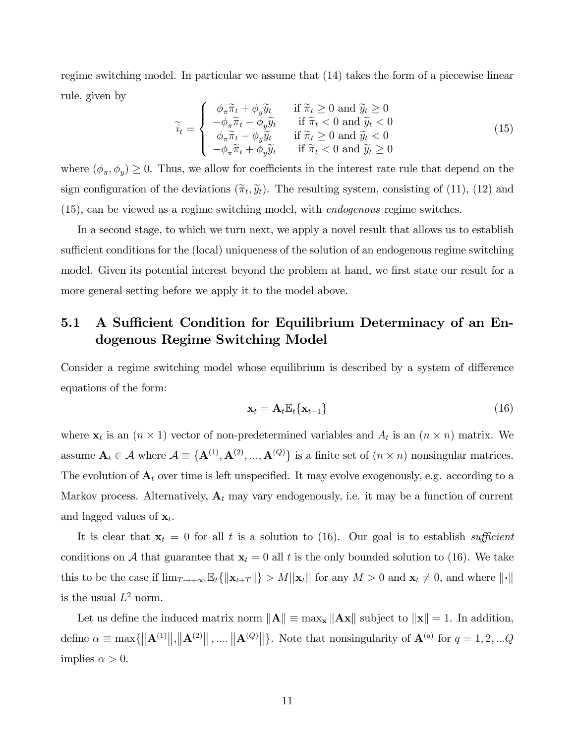regime switching model. In particular we assume that (14) takes the form of a piecewise linear rule, given by

$$
\widetilde{i}_t = \begin{cases}\n\phi_{\pi} \widetilde{\pi}_t + \phi_y \widetilde{y}_t & \text{if } \widetilde{\pi}_t \ge 0 \text{ and } \widetilde{y}_t \ge 0 \\
-\phi_{\pi} \widetilde{\pi}_t - \phi_y \widetilde{y}_t & \text{if } \widetilde{\pi}_t < 0 \text{ and } \widetilde{y}_t < 0 \\
\phi_{\pi} \widetilde{\pi}_t - \phi_y \widetilde{y}_t & \text{if } \widetilde{\pi}_t \ge 0 \text{ and } \widetilde{y}_t < 0 \\
-\phi_{\pi} \widetilde{\pi}_t + \phi_y \widetilde{y}_t & \text{if } \widetilde{\pi}_t < 0 \text{ and } \widetilde{y}_t \ge 0\n\end{cases}
$$
\n(15)

where  $(\phi_{\pi}, \phi_y) \ge 0$ . Thus, we allow for coefficients in the interest rate rule that depend on the sign configuration of the deviations  $(\tilde{\pi}_t, \tilde{y}_t)$ . The resulting system, consisting of (11), (12) and (15), can be viewed as a regime switching model, with endogenous regime switches.

In a second stage, to which we turn next, we apply a novel result that allows us to establish sufficient conditions for the (local) uniqueness of the solution of an endogenous regime switching model. Given its potential interest beyond the problem at hand, we first state our result for a more general setting before we apply it to the model above.

### 5.1 A Sufficient Condition for Equilibrium Determinacy of an Endogenous Regime Switching Model

Consider a regime switching model whose equilibrium is described by a system of difference equations of the form:

$$
\mathbf{x}_t = \mathbf{A}_t \mathbb{E}_t \{ \mathbf{x}_{t+1} \} \tag{16}
$$

where  $\mathbf{x}_t$  is an  $(n \times 1)$  vector of non-predetermined variables and  $A_t$  is an  $(n \times n)$  matrix. We assume  $\mathbf{A}_t \in \mathcal{A}$  where  $\mathcal{A} \equiv \{\mathbf{A}^{(1)}, \mathbf{A}^{(2)}, ..., \mathbf{A}^{(Q)}\}$  is a finite set of  $(n \times n)$  nonsingular matrices. The evolution of  $A_t$  over time is left unspecified. It may evolve exogenously, e.g. according to a Markov process. Alternatively,  $A_t$  may vary endogenously, i.e. it may be a function of current and lagged values of  $\mathbf{x}_t$ .

It is clear that  $x_t = 0$  for all t is a solution to (16). Our goal is to establish sufficient conditions on A that guarantee that  $\mathbf{x}_t = 0$  all t is the only bounded solution to (16). We take this to be the case if  $\lim_{T\to+\infty} \mathbb{E}_t \{ ||\mathbf{x}_{t+T}|| \} > M||\mathbf{x}_t||$  for any  $M > 0$  and  $\mathbf{x}_t \neq 0$ , and where  $||\cdot||$ is the usual  $L^2$  norm.

Let us define the induced matrix norm  $\|\mathbf{A}\| \equiv \max_{\mathbf{x}} \|\mathbf{A}\mathbf{x}\|$  subject to  $\|\mathbf{x}\| = 1$ . In addition, define  $\alpha \equiv \max\{\|\mathbf{A}^{(1)}\|,\|\mathbf{A}^{(2)}\|,\dots\|\mathbf{A}^{(Q)}\|\}.$  Note that nonsingularity of  $\mathbf{A}^{(q)}$  for  $q = 1, 2, \dots Q$ implies  $\alpha > 0$ .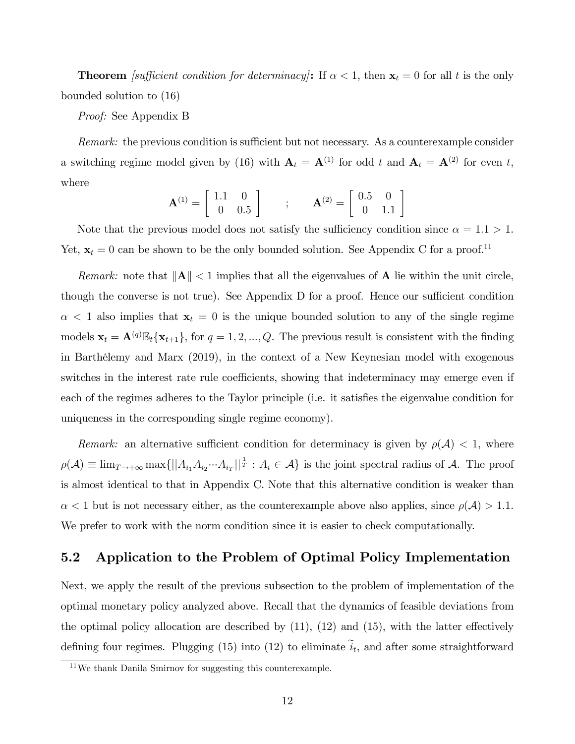**Theorem** *[sufficient condition for determinacy]*: If  $\alpha < 1$ , then  $\mathbf{x}_t = 0$  for all t is the only bounded solution to (16)

Proof: See Appendix B

Remark: the previous condition is sufficient but not necessary. As a counterexample consider a switching regime model given by (16) with  $A_t = A^{(1)}$  for odd t and  $A_t = A^{(2)}$  for even t, where

$$
\mathbf{A}^{(1)} = \begin{bmatrix} 1.1 & 0 \\ 0 & 0.5 \end{bmatrix} ; \qquad \mathbf{A}^{(2)} = \begin{bmatrix} 0.5 & 0 \\ 0 & 1.1 \end{bmatrix}
$$

Note that the previous model does not satisfy the sufficiency condition since  $\alpha = 1.1 > 1$ . Yet,  $\mathbf{x}_t = 0$  can be shown to be the only bounded solution. See Appendix C for a proof.<sup>11</sup>

Remark: note that  $||A|| < 1$  implies that all the eigenvalues of A lie within the unit circle, though the converse is not true). See Appendix  $D$  for a proof. Hence our sufficient condition  $\alpha$  < 1 also implies that  $\mathbf{x}_t = 0$  is the unique bounded solution to any of the single regime models  $\mathbf{x}_t = \mathbf{A}^{(q)} \mathbb{E}_t \{ \mathbf{x}_{t+1} \}$ , for  $q = 1, 2, ..., Q$ . The previous result is consistent with the finding in BarthÈlemy and Marx (2019), in the context of a New Keynesian model with exogenous switches in the interest rate rule coefficients, showing that indeterminacy may emerge even if each of the regimes adheres to the Taylor principle (i.e. it satisfies the eigenvalue condition for uniqueness in the corresponding single regime economy).

Remark: an alternative sufficient condition for determinacy is given by  $\rho(\mathcal{A}) < 1$ , where  $\rho(\mathcal{A}) \equiv \lim_{T \to +\infty} \max\{||A_{i_1} A_{i_2} \cdots A_{i_T}||^{\frac{1}{T}} : A_i \in \mathcal{A}\}\$ is the joint spectral radius of  $\mathcal{A}$ . The proof is almost identical to that in Appendix C. Note that this alternative condition is weaker than  $\alpha$  < 1 but is not necessary either, as the counterexample above also applies, since  $\rho(\mathcal{A}) > 1.1$ . We prefer to work with the norm condition since it is easier to check computationally.

### 5.2 Application to the Problem of Optimal Policy Implementation

Next, we apply the result of the previous subsection to the problem of implementation of the optimal monetary policy analyzed above. Recall that the dynamics of feasible deviations from the optimal policy allocation are described by  $(11)$ ,  $(12)$  and  $(15)$ , with the latter effectively defining four regimes. Plugging (15) into (12) to eliminate  $i_t$ , and after some straightforward

<sup>11</sup>We thank Danila Smirnov for suggesting this counterexample.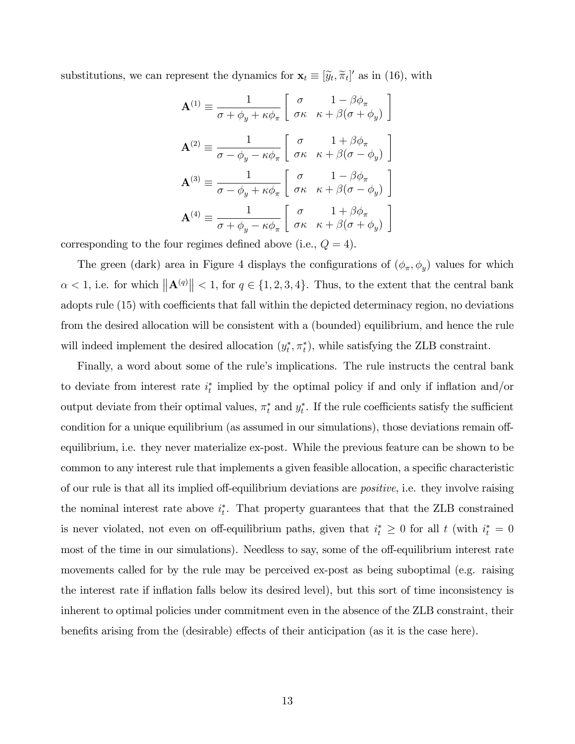substitutions, we can represent the dynamics for  $\mathbf{x}_t \equiv [\tilde{y}_t, \tilde{\pi}_t]'$  as in (16), with

$$
\mathbf{A}^{(1)} \equiv \frac{1}{\sigma + \phi_y + \kappa \phi_\pi} \begin{bmatrix} \sigma & 1 - \beta \phi_\pi \\ \sigma \kappa & \kappa + \beta (\sigma + \phi_y) \end{bmatrix}
$$

$$
\mathbf{A}^{(2)} \equiv \frac{1}{\sigma - \phi_y - \kappa \phi_\pi} \begin{bmatrix} \sigma & 1 + \beta \phi_\pi \\ \sigma \kappa & \kappa + \beta (\sigma - \phi_y) \end{bmatrix}
$$

$$
\mathbf{A}^{(3)} \equiv \frac{1}{\sigma - \phi_y + \kappa \phi_\pi} \begin{bmatrix} \sigma & 1 - \beta \phi_\pi \\ \sigma \kappa & \kappa + \beta (\sigma - \phi_y) \end{bmatrix}
$$

$$
\mathbf{A}^{(4)} \equiv \frac{1}{\sigma + \phi_y - \kappa \phi_\pi} \begin{bmatrix} \sigma & 1 + \beta \phi_\pi \\ \sigma \kappa & \kappa + \beta (\sigma + \phi_y) \end{bmatrix}
$$

corresponding to the four regimes defined above (i.e.,  $Q = 4$ ).

The green (dark) area in Figure 4 displays the configurations of  $(\phi_{\pi}, \phi_y)$  values for which  $\alpha < 1$ , i.e. for which  $\|\mathbf{A}^{(q)}\| < 1$ , for  $q \in \{1, 2, 3, 4\}$ . Thus, to the extent that the central bank adopts rule (15) with coefficients that fall within the depicted determinacy region, no deviations from the desired allocation will be consistent with a (bounded) equilibrium, and hence the rule will indeed implement the desired allocation  $(y_t^*, \pi_t^*)$ , while satisfying the ZLB constraint.

Finally, a word about some of the rule's implications. The rule instructs the central bank to deviate from interest rate  $i_t^*$  implied by the optimal policy if and only if inflation and/or output deviate from their optimal values,  $\pi_t^*$  and  $y_t^*$ . If the rule coefficients satisfy the sufficient condition for a unique equilibrium (as assumed in our simulations), those deviations remain offequilibrium, i.e. they never materialize ex-post. While the previous feature can be shown to be common to any interest rule that implements a given feasible allocation, a specific characteristic of our rule is that all its implied off-equilibrium deviations are *positive*, i.e. they involve raising the nominal interest rate above  $i_t^*$ . That property guarantees that that the ZLB constrained is never violated, not even on off-equilibrium paths, given that  $i_t^* \geq 0$  for all t (with  $i_t^* = 0$ most of the time in our simulations). Needless to say, some of the off-equilibrium interest rate movements called for by the rule may be perceived ex-post as being suboptimal (e.g. raising the interest rate if inflation falls below its desired level), but this sort of time inconsistency is inherent to optimal policies under commitment even in the absence of the ZLB constraint, their benefits arising from the (desirable) effects of their anticipation (as it is the case here).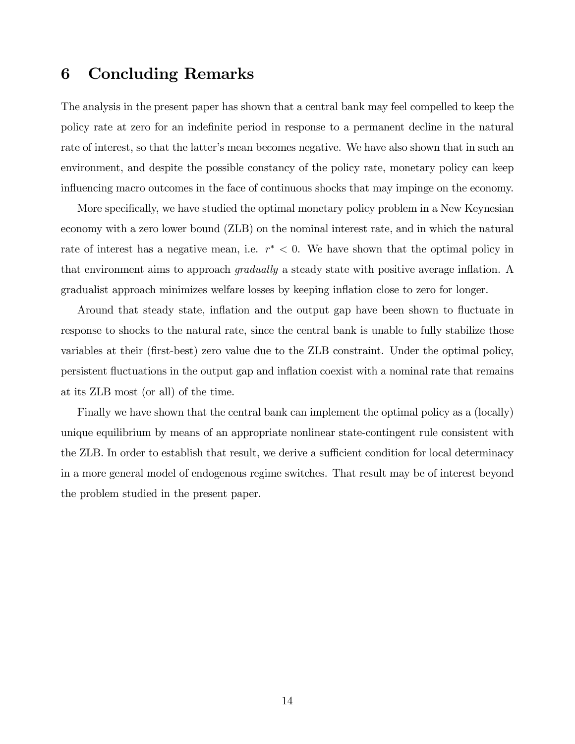## 6 Concluding Remarks

The analysis in the present paper has shown that a central bank may feel compelled to keep the policy rate at zero for an indefinite period in response to a permanent decline in the natural rate of interest, so that the latter's mean becomes negative. We have also shown that in such an environment, and despite the possible constancy of the policy rate, monetary policy can keep influencing macro outcomes in the face of continuous shocks that may impinge on the economy.

More specifically, we have studied the optimal monetary policy problem in a New Keynesian economy with a zero lower bound (ZLB) on the nominal interest rate, and in which the natural rate of interest has a negative mean, i.e.  $r^* < 0$ . We have shown that the optimal policy in that environment aims to approach *gradually* a steady state with positive average inflation. A gradualist approach minimizes welfare losses by keeping ináation close to zero for longer.

Around that steady state, inflation and the output gap have been shown to fluctuate in response to shocks to the natural rate, since the central bank is unable to fully stabilize those variables at their (first-best) zero value due to the ZLB constraint. Under the optimal policy, persistent áuctuations in the output gap and ináation coexist with a nominal rate that remains at its ZLB most (or all) of the time.

Finally we have shown that the central bank can implement the optimal policy as a (locally) unique equilibrium by means of an appropriate nonlinear state-contingent rule consistent with the ZLB. In order to establish that result, we derive a sufficient condition for local determinacy in a more general model of endogenous regime switches. That result may be of interest beyond the problem studied in the present paper.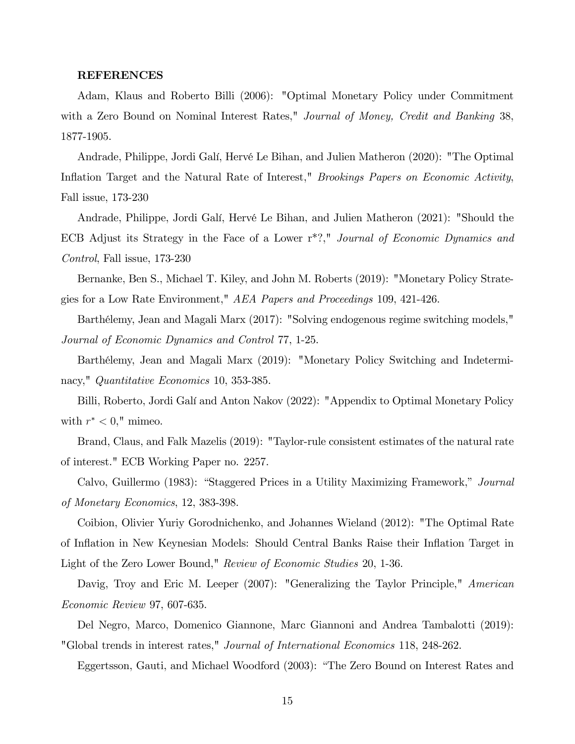#### REFERENCES

Adam, Klaus and Roberto Billi (2006): "Optimal Monetary Policy under Commitment with a Zero Bound on Nominal Interest Rates," Journal of Money, Credit and Banking 38, 1877-1905.

Andrade, Philippe, Jordi Galí, Hervé Le Bihan, and Julien Matheron (2020): "The Optimal Inflation Target and the Natural Rate of Interest," *Brookings Papers on Economic Activity*, Fall issue, 173-230

Andrade, Philippe, Jordi Galí, Hervé Le Bihan, and Julien Matheron (2021): "Should the ECB Adjust its Strategy in the Face of a Lower r\*?," Journal of Economic Dynamics and Control, Fall issue, 173-230

Bernanke, Ben S., Michael T. Kiley, and John M. Roberts (2019): "Monetary Policy Strategies for a Low Rate Environment," AEA Papers and Proceedings 109, 421-426.

Barthélemy, Jean and Magali Marx (2017): "Solving endogenous regime switching models," Journal of Economic Dynamics and Control 77, 1-25.

Barthélemy, Jean and Magali Marx (2019): "Monetary Policy Switching and Indeterminacy," Quantitative Economics 10, 353-385.

Billi, Roberto, Jordi Galí and Anton Nakov (2022): "Appendix to Optimal Monetary Policy with  $r^* < 0$ ," mimeo.

Brand, Claus, and Falk Mazelis (2019): "Taylor-rule consistent estimates of the natural rate of interest." ECB Working Paper no. 2257.

Calvo, Guillermo (1983): "Staggered Prices in a Utility Maximizing Framework," Journal of Monetary Economics, 12, 383-398.

Coibion, Olivier Yuriy Gorodnichenko, and Johannes Wieland (2012): "The Optimal Rate of Ináation in New Keynesian Models: Should Central Banks Raise their Ináation Target in Light of the Zero Lower Bound," Review of Economic Studies 20, 1-36.

Davig, Troy and Eric M. Leeper (2007): "Generalizing the Taylor Principle," American Economic Review 97, 607-635.

Del Negro, Marco, Domenico Giannone, Marc Giannoni and Andrea Tambalotti (2019): "Global trends in interest rates," Journal of International Economics 118, 248-262.

Eggertsson, Gauti, and Michael Woodford (2003): "The Zero Bound on Interest Rates and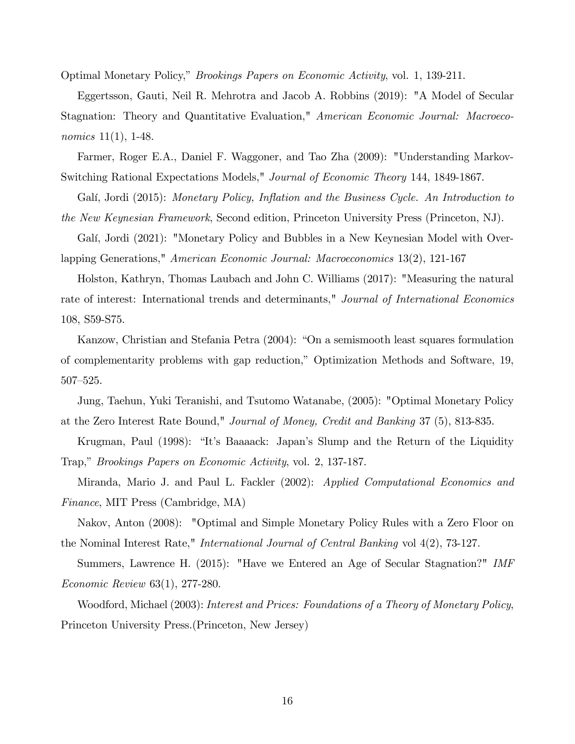Optimal Monetary Policy," *Brookings Papers on Economic Activity*, vol. 1, 139-211.

Eggertsson, Gauti, Neil R. Mehrotra and Jacob A. Robbins (2019): "A Model of Secular Stagnation: Theory and Quantitative Evaluation," American Economic Journal: Macroeconomics 11(1), 1-48.

Farmer, Roger E.A., Daniel F. Waggoner, and Tao Zha (2009): "Understanding Markov-Switching Rational Expectations Models," Journal of Economic Theory 144, 1849-1867.

Galí, Jordi (2015): Monetary Policy, Inflation and the Business Cycle. An Introduction to the New Keynesian Framework, Second edition, Princeton University Press (Princeton, NJ).

Galí, Jordi (2021): "Monetary Policy and Bubbles in a New Keynesian Model with Overlapping Generations," American Economic Journal: Macroeconomics 13(2), 121-167

Holston, Kathryn, Thomas Laubach and John C. Williams (2017): "Measuring the natural rate of interest: International trends and determinants," Journal of International Economics 108, S59-S75.

Kanzow, Christian and Stefania Petra (2004): "On a semismooth least squares formulation of complementarity problems with gap reduction,î Optimization Methods and Software, 19,  $507 - 525$ .

Jung, Taehun, Yuki Teranishi, and Tsutomo Watanabe, (2005): "Optimal Monetary Policy at the Zero Interest Rate Bound," Journal of Money, Credit and Banking 37 (5), 813-835.

Krugman, Paul (1998): "It's Baaaack: Japan's Slump and the Return of the Liquidity Trap," *Brookings Papers on Economic Activity*, vol. 2, 137-187.

Miranda, Mario J. and Paul L. Fackler (2002): Applied Computational Economics and Finance, MIT Press (Cambridge, MA)

Nakov, Anton (2008): "Optimal and Simple Monetary Policy Rules with a Zero Floor on the Nominal Interest Rate," International Journal of Central Banking vol 4(2), 73-127.

Summers, Lawrence H. (2015): "Have we Entered an Age of Secular Stagnation?" IMF Economic Review 63(1), 277-280.

Woodford, Michael (2003): Interest and Prices: Foundations of a Theory of Monetary Policy, Princeton University Press.(Princeton, New Jersey)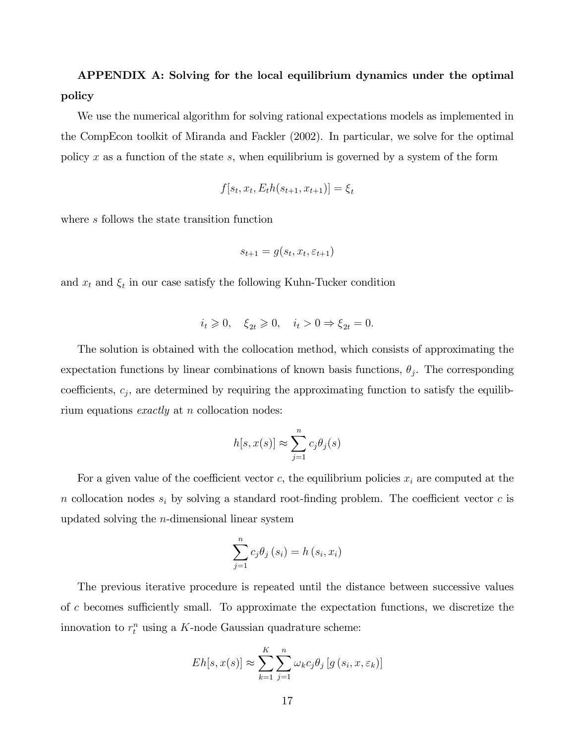# APPENDIX A: Solving for the local equilibrium dynamics under the optimal policy

We use the numerical algorithm for solving rational expectations models as implemented in the CompEcon toolkit of Miranda and Fackler (2002). In particular, we solve for the optimal policy x as a function of the state s, when equilibrium is governed by a system of the form

$$
f[s_t, x_t, E_t h(s_{t+1}, x_{t+1})] = \xi_t
$$

where s follows the state transition function

$$
s_{t+1} = g(s_t, x_t, \varepsilon_{t+1})
$$

and  $x_t$  and  $\xi_t$  in our case satisfy the following Kuhn-Tucker condition

$$
i_t \geq 0
$$
,  $\xi_{2t} \geq 0$ ,  $i_t > 0 \Rightarrow \xi_{2t} = 0$ .

The solution is obtained with the collocation method, which consists of approximating the expectation functions by linear combinations of known basis functions,  $\theta_j$ . The corresponding coefficients,  $c_j$ , are determined by requiring the approximating function to satisfy the equilibrium equations *exactly* at  $n$  collocation nodes:

$$
h[s, x(s)] \approx \sum_{j=1}^{n} c_j \theta_j(s)
$$

For a given value of the coefficient vector c, the equilibrium policies  $x_i$  are computed at the n collocation nodes  $s_i$  by solving a standard root-finding problem. The coefficient vector c is updated solving the n-dimensional linear system

$$
\sum_{j=1}^{n} c_j \theta_j (s_i) = h (s_i, x_i)
$$

The previous iterative procedure is repeated until the distance between successive values of c becomes sufficiently small. To approximate the expectation functions, we discretize the innovation to  $r_t^n$  using a K-node Gaussian quadrature scheme:

$$
Eh[s, x(s)] \approx \sum_{k=1}^{K} \sum_{j=1}^{n} \omega_k c_j \theta_j \left[ g\left(s_i, x, \varepsilon_k\right) \right]
$$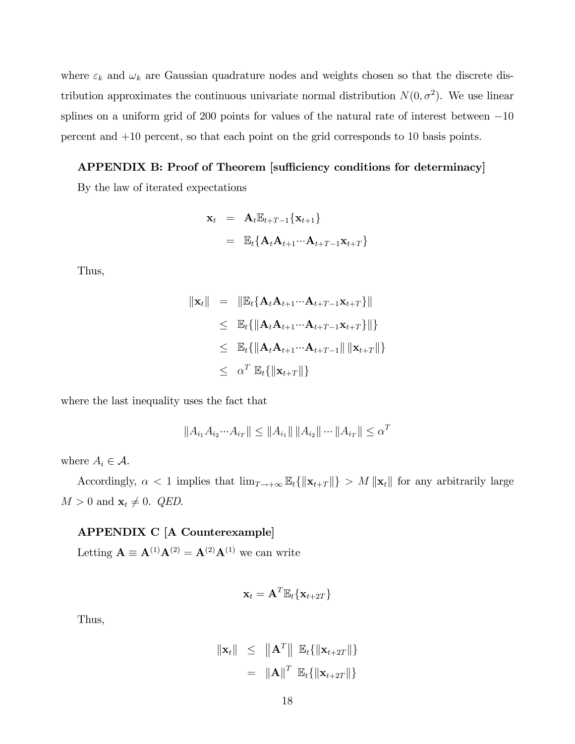where  $\varepsilon_k$  and  $\omega_k$  are Gaussian quadrature nodes and weights chosen so that the discrete distribution approximates the continuous univariate normal distribution  $N(0, \sigma^2)$ . We use linear splines on a uniform grid of 200 points for values of the natural rate of interest between  $-10$ percent and +10 percent, so that each point on the grid corresponds to 10 basis points.

### APPENDIX B: Proof of Theorem [sufficiency conditions for determinacy]

By the law of iterated expectations

$$
\mathbf{x}_{t} = \mathbf{A}_{t} \mathbb{E}_{t+T-1} \{ \mathbf{x}_{t+1} \}
$$

$$
= \mathbb{E}_{t} \{ \mathbf{A}_{t} \mathbf{A}_{t+1} \cdots \mathbf{A}_{t+T-1} \mathbf{x}_{t+T} \}
$$

Thus,

$$
\|\mathbf{x}_{t}\| = \|\mathbb{E}_{t}\{\mathbf{A}_{t}\mathbf{A}_{t+1}\cdots\mathbf{A}_{t+T-1}\mathbf{x}_{t+T}\}\|
$$
  
\n
$$
\leq \mathbb{E}_{t}\{\|\mathbf{A}_{t}\mathbf{A}_{t+1}\cdots\mathbf{A}_{t+T-1}\mathbf{x}_{t+T}\}\|\}
$$
  
\n
$$
\leq \mathbb{E}_{t}\{\|\mathbf{A}_{t}\mathbf{A}_{t+1}\cdots\mathbf{A}_{t+T-1}\|\|\mathbf{x}_{t+T}\|\}
$$
  
\n
$$
\leq \alpha^{T}\mathbb{E}_{t}\{\|\mathbf{x}_{t+T}\|\}
$$

where the last inequality uses the fact that

$$
||A_{i_1}A_{i_2}\cdots A_{i_T}|| \le ||A_{i_1}|| \, ||A_{i_2}|| \cdots ||A_{i_T}|| \le \alpha^T
$$

where  $A_i \in \mathcal{A}$ .

Accordingly,  $\alpha$  < 1 implies that  $\lim_{T\to+\infty} \mathbb{E}_t \{\|\mathbf{x}_{t+T}\|\} > M \|\mathbf{x}_t\|$  for any arbitrarily large  $M > 0$  and  $\mathbf{x}_t \neq 0$ . *QED*.

### APPENDIX C [A Counterexample]

Letting  $\mathbf{A} \equiv \mathbf{A}^{(1)} \mathbf{A}^{(2)} = \mathbf{A}^{(2)} \mathbf{A}^{(1)}$  we can write

$$
\mathbf{x}_t = \mathbf{A}^T \mathbb{E}_t \{ \mathbf{x}_{t+2T} \}
$$

Thus,

$$
\begin{array}{rcl} \|\mathbf{x}_t\| & \leq & \left\|\mathbf{A}^T\right\| \mathbb{E}_t \{ \|\mathbf{x}_{t+2T}\| \} \\ & = & \left\|\mathbf{A}\right\|^T \mathbb{E}_t \{ \|\mathbf{x}_{t+2T}\| \} \end{array}
$$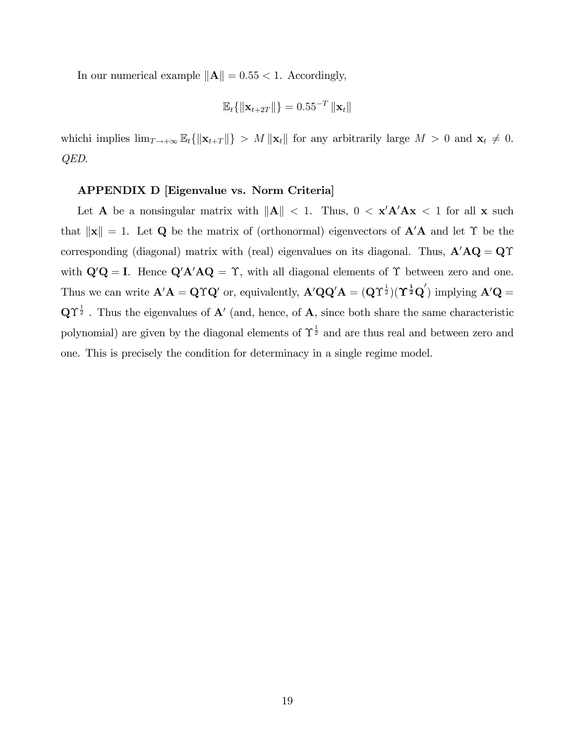In our numerical example  $\|\mathbf{A}\| = 0.55 < 1$ . Accordingly,

$$
\mathbb{E}_{t}\{\Vert \mathbf{x}_{t+2T}\Vert\} = 0.55^{-T} \left\Vert \mathbf{x}_{t}\right\Vert
$$

whichi implies  $\lim_{T\to+\infty} \mathbb{E}_t \{ ||\mathbf{x}_{t+T}|| \} > M ||\mathbf{x}_t||$  for any arbitrarily large  $M > 0$  and  $\mathbf{x}_t \neq 0$ . QED.

#### APPENDIX D [Eigenvalue vs. Norm Criteria]

Let **A** be a nonsingular matrix with  $||A|| < 1$ . Thus,  $0 < x'A'Ax < 1$  for all **x** such that  $\|\mathbf{x}\| = 1$ . Let Q be the matrix of (orthonormal) eigenvectors of  $\mathbf{A}'\mathbf{A}$  and let  $\Upsilon$  be the corresponding (diagonal) matrix with (real) eigenvalues on its diagonal. Thus,  $A'AQ = Q\Upsilon$ with  $\mathbf{Q}'\mathbf{Q} = \mathbf{I}$ . Hence  $\mathbf{Q}'\mathbf{A}'\mathbf{A}\mathbf{Q} = \Upsilon$ , with all diagonal elements of  $\Upsilon$  between zero and one. Thus we can write  $\mathbf{A}'\mathbf{A} = \mathbf{Q}\Upsilon\mathbf{Q}'$  or, equivalently,  $\mathbf{A}'\mathbf{Q}\mathbf{Q}'\mathbf{A} = (\mathbf{Q}\Upsilon^{\frac{1}{2}})(\Upsilon^{\frac{1}{2}}\mathbf{Q}')$  implying  $\mathbf{A}'\mathbf{Q} =$  $\mathbf{Q}\Upsilon^{\frac{1}{2}}$ . Thus the eigenvalues of  $\mathbf{A}'$  (and, hence, of  $\mathbf{A}$ , since both share the same characteristic polynomial) are given by the diagonal elements of  $\Upsilon^{\frac{1}{2}}$  and are thus real and between zero and one. This is precisely the condition for determinacy in a single regime model.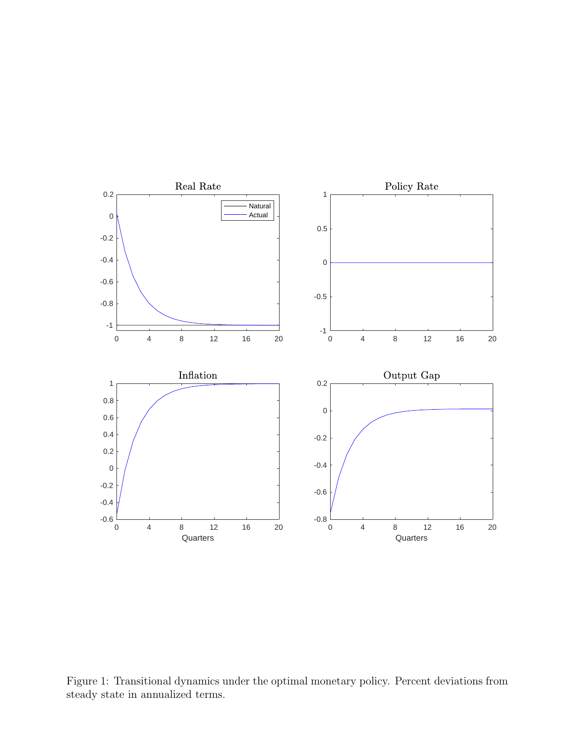

Figure 1: Transitional dynamics under the optimal monetary policy. Percent deviations from steady state in annualized terms.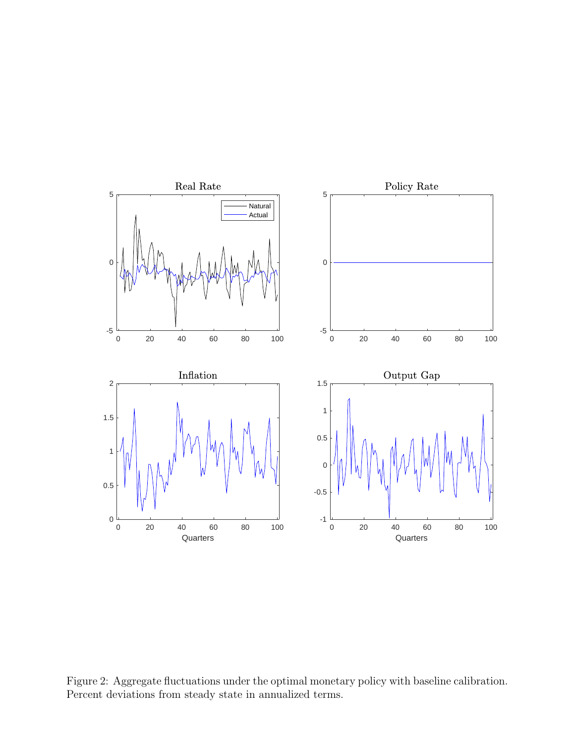

Figure 2: Aggregate fluctuations under the optimal monetary policy with baseline calibration. Percent deviations from steady state in annualized terms.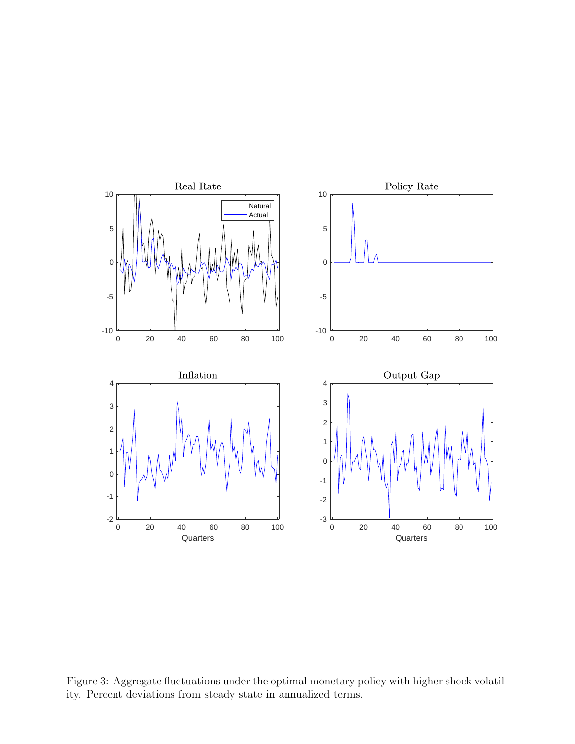

Figure 3: Aggregate fluctuations under the optimal monetary policy with higher shock volatility. Percent deviations from steady state in annualized terms.